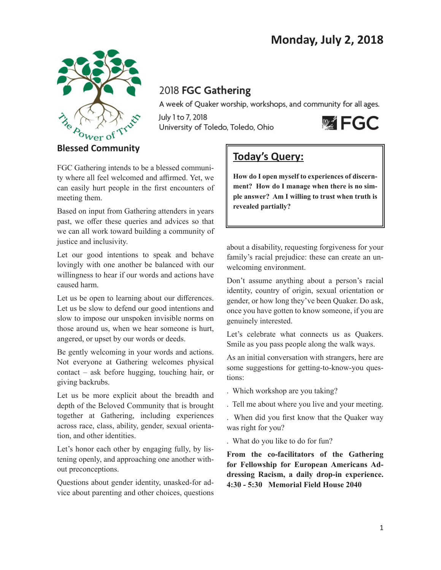

## 2018 FGC Gathering

A week of Quaker worship, workshops, and community for all ages.

July 1 to 7, 2018 University of Toledo, Toledo, Ohio



FGC Gathering intends to be a blessed community where all feel welcomed and affirmed. Yet, we can easily hurt people in the first encounters of meeting them.

Based on input from Gathering attenders in years past, we offer these queries and advices so that we can all work toward building a community of justice and inclusivity.

Let our good intentions to speak and behave lovingly with one another be balanced with our willingness to hear if our words and actions have caused harm.

Let us be open to learning about our differences. Let us be slow to defend our good intentions and slow to impose our unspoken invisible norms on those around us, when we hear someone is hurt, angered, or upset by our words or deeds.

Be gently welcoming in your words and actions. Not everyone at Gathering welcomes physical contact – ask before hugging, touching hair, or giving backrubs.

Let us be more explicit about the breadth and depth of the Beloved Community that is brought together at Gathering, including experiences across race, class, ability, gender, sexual orientation, and other identities.

Let's honor each other by engaging fully, by listening openly, and approaching one another without preconceptions.

Questions about gender identity, unasked-for advice about parenting and other choices, questions

# **Today's Query:**

**How do I open myself to experiences of discernment? How do I manage when there is no simple answer? Am I willing to trust when truth is revealed partially?**

about a disability, requesting forgiveness for your family's racial prejudice: these can create an unwelcoming environment.

Don't assume anything about a person's racial identity, country of origin, sexual orientation or gender, or how long they've been Quaker. Do ask, once you have gotten to know someone, if you are genuinely interested.

Let's celebrate what connects us as Quakers. Smile as you pass people along the walk ways.

As an initial conversation with strangers, here are some suggestions for getting-to-know-you questions:

. Which workshop are you taking?

. Tell me about where you live and your meeting.

. When did you first know that the Quaker way was right for you?

. What do you like to do for fun?

**From the co-facilitators of the Gathering for Fellowship for European Americans Addressing Racism, a daily drop-in experience. 4:30 - 5:30 Memorial Field House 2040**